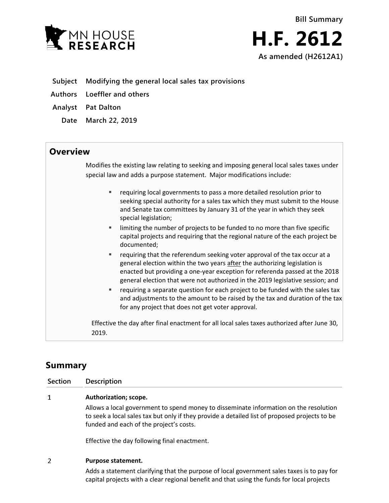

- **Subject Modifying the general local sales tax provisions**
- **Authors Loeffler and others**
- **Analyst Pat Dalton**
	- **Date March 22, 2019**

## **Overview**

Modifies the existing law relating to seeking and imposing general local sales taxes under special law and adds a purpose statement. Major modifications include:

- requiring local governments to pass a more detailed resolution prior to seeking special authority for a sales tax which they must submit to the House and Senate tax committees by January 31 of the year in which they seek special legislation;
- limiting the number of projects to be funded to no more than five specific capital projects and requiring that the regional nature of the each project be documented;
- **F** requiring that the referendum seeking voter approval of the tax occur at a general election within the two years after the authorizing legislation is enacted but providing a one-year exception for referenda passed at the 2018 general election that were not authorized in the 2019 legislative session; and
- requiring a separate question for each project to be funded with the sales tax and adjustments to the amount to be raised by the tax and duration of the tax for any project that does not get voter approval.

Effective the day after final enactment for all local sales taxes authorized after June 30, 2019.

# **Summary**

| Section | Description                                                                                                                                                                            |
|---------|----------------------------------------------------------------------------------------------------------------------------------------------------------------------------------------|
| 1       | Authorization; scope.                                                                                                                                                                  |
|         | Allows a local government to spend money to disseminate information on the resolution<br>to seek a local sales tax but only if they provide a detailed list of proposed projects to be |

Effective the day following final enactment.

funded and each of the project's costs.

### $\overline{2}$ **Purpose statement.**

Adds a statement clarifying that the purpose of local government sales taxes is to pay for capital projects with a clear regional benefit and that using the funds for local projects